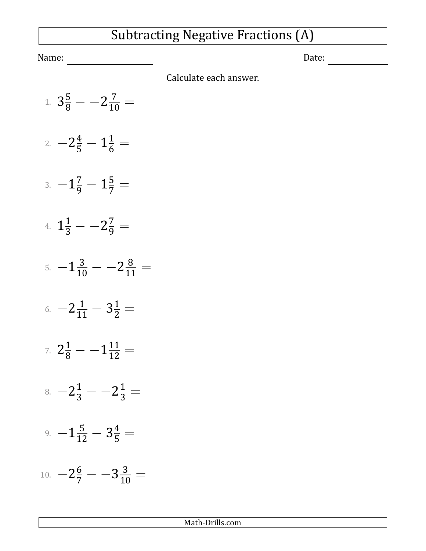## Subtracting Negative Fractions (A)

Name: Date:

Calculate each answer.

1.  $3\frac{5}{8}$  -  $-2\frac{7}{10}$  = 2.  $-2\frac{4}{5} - 1\frac{1}{6} =$  $-1\frac{7}{9} - 1\frac{5}{7} =$ 4.  $1\frac{1}{3} - -2\frac{7}{9} =$ 5.  $-1\frac{3}{10} - -2\frac{8}{11} =$ 6.  $-2\frac{1}{11} - 3\frac{1}{2} =$ 7.  $2\frac{1}{8}$  -  $-1\frac{11}{12}$  =  $8. -2\frac{1}{3} - -2\frac{1}{3} =$ 9.  $-1\frac{5}{12} - 3\frac{4}{5} =$ 10.  $-2\frac{6}{7}$   $-3\frac{3}{10}$   $=$